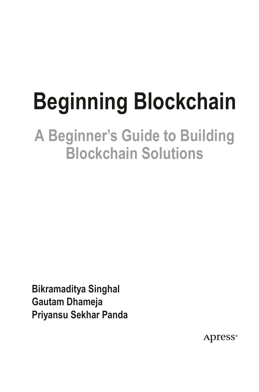# **Beginning Blockchain**

### **A Beginner's Guide to Building Blockchain Solutions**

**Bikramaditya Singhal Gautam Dhameja Priyansu Sekhar Panda**

Apress<sup>®</sup>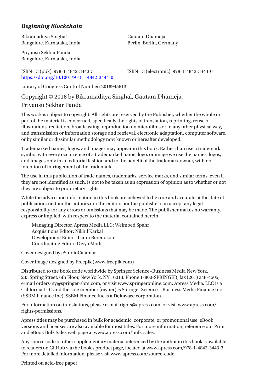#### *Beginning Blockchain*

Bikramaditya Singhal Bangalore, Karnataka, India

Priyansu Sekhar Panda Bangalore, Karnataka, India

#### ISBN-13 (pbk): 978-1-4842-3443-3 ISBN-13 (electronic): 978-1-4842-3444-0 <https://doi.org/10.1007/978-1-4842-3444-0>

Gautam Dhameja Berlin, Berlin, Germany

Library of Congress Control Number: 2018945613

#### Copyright © 2018 by Bikramaditya Singhal, Gautam Dhameja,

#### Priyansu Sekhar Panda

This work is subject to copyright. All rights are reserved by the Publisher, whether the whole or part of the material is concerned, specifically the rights of translation, reprinting, reuse of illustrations, recitation, broadcasting, reproduction on microfilms or in any other physical way, and transmission or information storage and retrieval, electronic adaptation, computer software, or by similar or dissimilar methodology now known or hereafter developed.

Trademarked names, logos, and images may appear in this book. Rather than use a trademark symbol with every occurrence of a trademarked name, logo, or image we use the names, logos, and images only in an editorial fashion and to the benefit of the trademark owner, with no intention of infringement of the trademark.

The use in this publication of trade names, trademarks, service marks, and similar terms, even if they are not identified as such, is not to be taken as an expression of opinion as to whether or not they are subject to proprietary rights.

While the advice and information in this book are believed to be true and accurate at the date of publication, neither the authors nor the editors nor the publisher can accept any legal responsibility for any errors or omissions that may be made. The publisher makes no warranty, express or implied, with respect to the material contained herein.

Managing Director, Apress Media LLC: Welmoed Spahr Acquisitions Editor: Nikhil Karkal Development Editor: Laura Berendson Coordinating Editor: Divya Modi

Cover designed by eStudioCalamar

Cover image designed by Freepik (www.freepik.com)

Distributed to the book trade worldwide by Springer Science+Business Media New York, 233 Spring Street, 6th Floor, New York, NY 10013. Phone 1-800-SPRINGER, fax (201) 348-4505, e-mail orders-ny@springer-sbm.com, or visit www.springeronline.com. Apress Media, LLC is a California LLC and the sole member (owner) is Springer Science + Business Media Finance Inc (SSBM Finance Inc). SSBM Finance Inc is a **Delaware** corporation.

For information on translations, please e-mail rights@apress.com, or visit www.apress.com/ rights-permissions.

Apress titles may be purchased in bulk for academic, corporate, or promotional use. eBook versions and licenses are also available for most titles. For more information, reference our Print and eBook Bulk Sales web page at www.apress.com/bulk-sales.

Any source code or other supplementary material referenced by the author in this book is available to readers on GitHub via the book's product page, located at www.apress.com/978-1-4842-3443-3. For more detailed information, please visit www.apress.com/source-code.

Printed on acid-free paper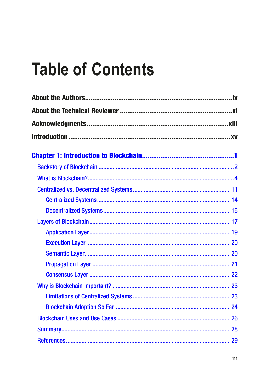# **Table of Contents**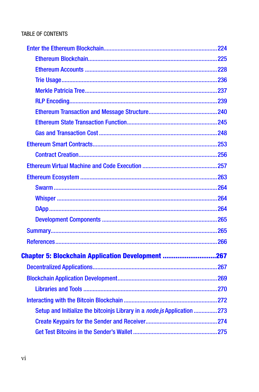| <b>Chapter 5: Blockchain Application Development 267</b>                |  |
|-------------------------------------------------------------------------|--|
|                                                                         |  |
|                                                                         |  |
|                                                                         |  |
|                                                                         |  |
| Setup and Initialize the bitcoinjs Library in a node.js Application 273 |  |
|                                                                         |  |
|                                                                         |  |
|                                                                         |  |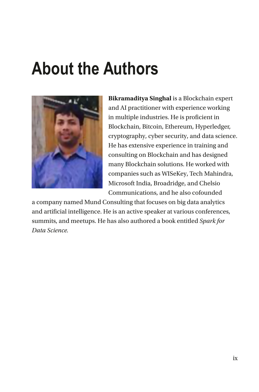# **About the Authors**



**Bikramaditya Singhal** is a Blockchain expert and AI practitioner with experience working in multiple industries. He is proficient in Blockchain, Bitcoin, Ethereum, Hyperledger, cryptography, cyber security, and data science. He has extensive experience in training and consulting on Blockchain and has designed many Blockchain solutions. He worked with companies such as WISeKey, Tech Mahindra, Microsoft India, Broadridge, and Chelsio Communications, and he also cofounded

a company named Mund Consulting that focuses on big data analytics and artificial intelligence. He is an active speaker at various conferences, summits, and meetups. He has also authored a book entitled *Spark for Data Science.*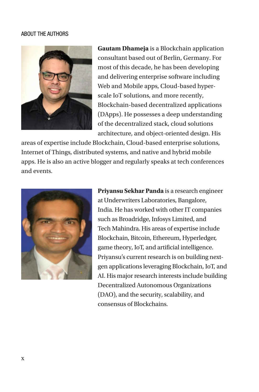#### ABOUT THE AUTHORS



**Gautam Dhameja** is a Blockchain application consultant based out of Berlin, Germany. For most of this decade, he has been developing and delivering enterprise software including Web and Mobile apps, Cloud-based hyperscale IoT solutions, and more recently, Blockchain-based decentralized applications (DApps). He possesses a deep understanding of the decentralized stack, cloud solutions architecture, and object-oriented design. His

areas of expertise include Blockchain, Cloud-based enterprise solutions, Internet of Things, distributed systems, and native and hybrid mobile apps. He is also an active blogger and regularly speaks at tech conferences and events.



**Priyansu Sekhar Panda** is a research engineer at Underwriters Laboratories, Bangalore, India. He has worked with other IT companies such as Broadridge, Infosys Limited, and Tech Mahindra. His areas of expertise include Blockchain, Bitcoin, Ethereum, Hyperledger, game theory, IoT, and artificial intelligence. Priyansu's current research is on building nextgen applications leveraging Blockchain, IoT, and AI. His major research interests include building Decentralized Autonomous Organizations (DAO), and the security, scalability, and consensus of Blockchains.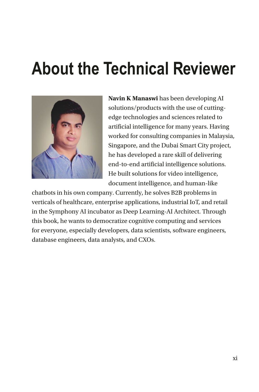# **About the Technical Reviewer**



**Navin K Manaswi** has been developing AI solutions/products with the use of cuttingedge technologies and sciences related to artificial intelligence for many years. Having worked for consulting companies in Malaysia, Singapore, and the Dubai Smart City project, he has developed a rare skill of delivering end-to-end artificial intelligence solutions. He built solutions for video intelligence, document intelligence, and human-like

chatbots in his own company. Currently, he solves B2B problems in verticals of healthcare, enterprise applications, industrial IoT, and retail in the Symphony AI incubator as Deep Learning-AI Architect. Through this book, he wants to democratize cognitive computing and services for everyone, especially developers, data scientists, software engineers, database engineers, data analysts, and CXOs.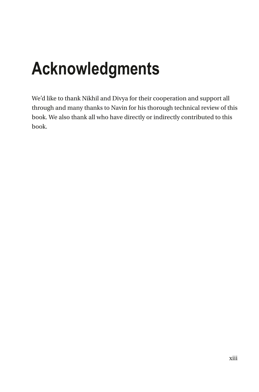# **Acknowledgments**

We'd like to thank Nikhil and Divya for their cooperation and support all through and many thanks to Navin for his thorough technical review of this book. We also thank all who have directly or indirectly contributed to this book.